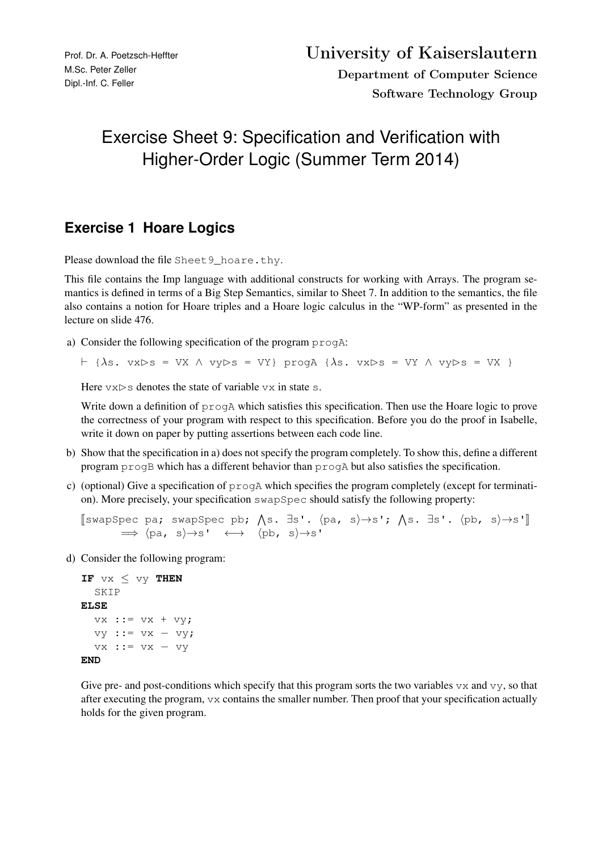## Exercise Sheet 9: Specification and Verification with Higher-Order Logic (Summer Term 2014)

## **Exercise 1 Hoare Logics**

Please download the file Sheet 9\_hoare.thy.

This file contains the Imp language with additional constructs for working with Arrays. The program semantics is defined in terms of a Big Step Semantics, similar to Sheet 7. In addition to the semantics, the file also contains a notion for Hoare triples and a Hoare logic calculus in the "WP-form" as presented in the lecture on slide 476.

a) Consider the following specification of the program progA:

 $\vdash$  { $\lambda$ s. vx $\triangleright$ s = VX  $\land$  vy $\triangleright$ s = VY} progA { $\lambda$ s. vx $\triangleright$ s = VY  $\land$  vy $\triangleright$ s = VX }

Here  $vx>$  denotes the state of variable vx in state s.

Write down a definition of progA which satisfies this specification. Then use the Hoare logic to prove the correctness of your program with respect to this specification. Before you do the proof in Isabelle, write it down on paper by putting assertions between each code line.

- b) Show that the specification in a) does not specify the program completely. To show this, define a different program progB which has a different behavior than progA but also satisfies the specification.
- c) (optional) Give a specification of progA which specifies the program completely (except for termination). More precisely, your specification swapSpec should satisfy the following property:

```
[swapSpec pa; swapSpec pb; \Lambdas. ∃s'. \langlepa, s\rangle \rightarrows'; \Lambdas. ∃s'. \langlepb, s\rangle \rightarrows']
             \Rightarrow \langle pa, s \rangle \rightarrow s' \leftrightarrow \langle pb, s \rangle \rightarrow s'
```
d) Consider the following program:

```
IF vx ≤ vy THEN
  SKIP
ELSE
  vx := vx + vy;vy ::= vx − vy;
  vx ::= vx − vy
END
```
Give pre- and post-conditions which specify that this program sorts the two variables  $v \times$  and  $v \times$ , so that after executing the program, vx contains the smaller number. Then proof that your specification actually holds for the given program.